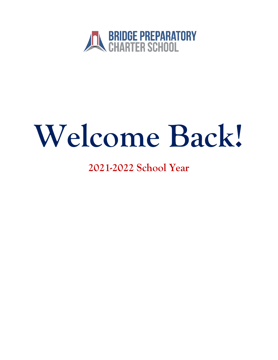

# Welcome Back!

**2021-2022 School Year**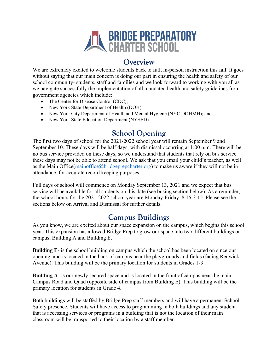

#### **Overview**

We are extremely excited to welcome students back to full, in-person instruction this fall. It goes without saying that our main concern is doing our part in ensuring the health and safety of our school community- students, staff and families and we look forward to working with you all as we navigate successfully the implementation of all mandated health and safety guidelines from government agencies which include:

- The Center for Disease Control (CDC);
- New York State Department of Health (DOH);
- New York City Department of Health and Mental Hygiene (NYC DOHMH); and
- New York State Education Department (NYSED)

### **School Opening**

The first two days of school for the 2021-2022 school year will remain September 9 and September 10. These days will be half days, with dismissal occurring at 1:00 p.m. There will be no bus service provided on these days, so we understand that students that rely on bus service these days may not be able to attend school. We ask that you email your child's teacher, as well as the Main Office(mainoffice@bridgeprepcharter.org) to make us aware if they will not be in attendance, for accurate record keeping purposes.

Full days of school will commence on Monday September 13, 2021 and we expect that bus service will be available for all students on this date (see busing section below). As a reminder, the school hours for the 2021-2022 school year are Monday-Friday, 8:15-3:15. Please see the sections below on Arrival and Dismissal for further details.

#### **Campus Buildings**

As you know, we are excited about our space expansion on the campus, which begins this school year. This expansion has allowed Bridge Prep to grow our space into two different buildings on campus, Building A and Building E.

**Building E-** is the school building on campus which the school has been located on since our opening, and is located in the back of campus near the playgrounds and fields (facing Renwick Avenue). This building will be the primary location for students in Grades 1-3

**Building A**- is our newly secured space and is located in the front of campus near the main Campus Road and Quad (opposite side of campus from Building E). This building will be the primary location for students in Grade 4.

Both buildings will be staffed by Bridge Prep staff members and will have a permanent School Safety presence. Students will have access to programming in both buildings and any student that is accessing services or programs in a building that is not the location of their main classroom will be transported to their location by a staff member.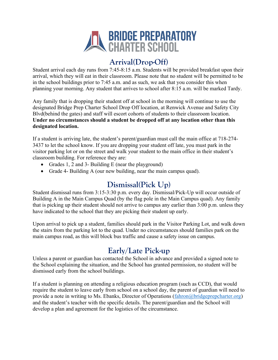

### **Arrival(Drop-Off)**

Student arrival each day runs from 7:45-8:15 a.m. Students will be provided breakfast upon their arrival, which they will eat in their classroom. Please note that no student will be permitted to be in the school buildings prior to 7:45 a.m. and as such, we ask that you consider this when planning your morning. Any student that arrives to school after 8:15 a.m. will be marked Tardy.

Any family that is dropping their student off at school in the morning will continue to use the designated Bridge Prep Charter School Drop Off location, at Renwick Avenue and Safety City Blvd(behind the gates) and staff will escort cohorts of students to their classroom location. **Under no circumstances should a student be dropped off at any location other than this designated location.** 

If a student is arriving late, the student's parent/guardian must call the main office at 718-274- 3437 to let the school know. If you are dropping your student off late, you must park in the visitor parking lot or on the street and walk your student to the main office in their student's classroom building. For reference they are:

- Grades 1, 2 and 3- Building E (near the playground)
- Grade 4- Building A (our new building, near the main campus quad).

#### **Dismissal(Pick Up)**

Student dismissal runs from 3:15-3:30 p.m. every day. Dismissal/Pick-Up will occur outside of Building A in the Main Campus Quad (by the flag pole in the Main Campus quad). Any family that is picking up their student should not arrive to campus any earlier than 3:00 p.m. unless they have indicated to the school that they are picking their student up early.

Upon arrival to pick up a student, families should park in the Visitor Parking Lot, and walk down the stairs from the parking lot to the quad. Under no circumstances should families park on the main campus road, as this will block bus traffic and cause a safety issue on campus.

# **Early/Late Pick-up**

Unless a parent or guardian has contacted the School in advance and provided a signed note to the School explaining the situation, and the School has granted permission, no student will be dismissed early from the school buildings.

If a student is planning on attending a religious education program (such as CCD), that would require the student to leave early from school on a school day, the parent of guardian will need to provide a note in writing to Ms. Ebanks, Director of Operations (fahron@bridgeprepcharter.org) and the student's teacher with the specific details. The parent/guardian and the School will develop a plan and agreement for the logistics of the circumstance.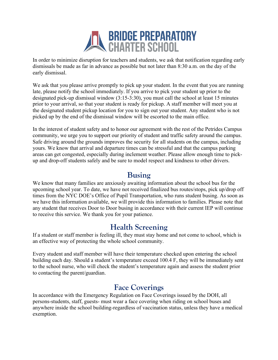

In order to minimize disruption for teachers and students, we ask that notification regarding early dismissals be made as far in advance as possible but not later than 8:30 a.m. on the day of the early dismissal.

We ask that you please arrive promptly to pick up your student. In the event that you are running late, please notify the school immediately. If you arrive to pick your student up prior to the designated pick-up dismissal window (3:15-3:30), you must call the school at least 15 minutes prior to your arrival, so that your student is ready for pickup. A staff member will meet you at the designated student pickup location for you to sign out your student. Any student who is not picked up by the end of the dismissal window will be escorted to the main office.

In the interest of student safety and to honor our agreement with the rest of the Petrides Campus community, we urge you to support our priority of student and traffic safety around the campus. Safe driving around the grounds improves the security for all students on the campus, including yours. We know that arrival and departure times can be stressful and that the campus parking areas can get congested, especially during inclement weather. Please allow enough time to pickup and drop-off students safely and be sure to model respect and kindness to other drivers.

#### **Busing**

We know that many families are anxiously awaiting information about the school bus for the upcoming school year. To date, we have not received finalized bus routes/stops, pick up/drop off times from the NYC DOE's Office of Pupil Transportation, who runs student busing. As soon as we have this information available, we will provide this information to families. Please note that any student that receives Door to Door busing in accordance with their current IEP will continue to receive this service. We thank you for your patience.

#### **Health Screening**

If a student or staff member is feeling ill, they must stay home and not come to school, which is an effective way of protecting the whole school community.

Every student and staff member will have their temperature checked upon entering the school building each day. Should a student's temperature exceed 100.4 F, they will be immediately sent to the school nurse, who will check the student's temperature again and assess the student prior to contacting the parent/guardian.

#### **Face Coverings**

In accordance with the Emergency Regulation on Face Coverings issued by the DOH, all persons-students, staff, guests- must wear a face covering when riding on school buses and anywhere inside the school building-regardless of vaccination status, unless they have a medical exemption.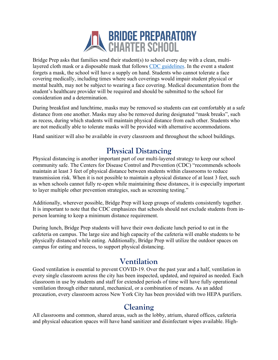

Bridge Prep asks that families send their student(s) to school every day with a clean, multilayered cloth mask or a disposable mask that follows CDC guidelines. In the event a student forgets a mask, the school will have a supply on hand. Students who cannot tolerate a face covering medically, including times where such coverings would impair student physical or mental health, may not be subject to wearing a face covering. Medical documentation from the student's healthcare provider will be required and should be submitted to the school for consideration and a determination.

During breakfast and lunchtime, masks may be removed so students can eat comfortably at a safe distance from one another. Masks may also be removed during designated "mask breaks", such as recess, during which students will maintain physical distance from each other. Students who are not medically able to tolerate masks will be provided with alternative accommodations.

Hand sanitizer will also be available in every classroom and throughout the school buildings.

#### **Physical Distancing**

Physical distancing is another important part of our multi-layered strategy to keep our school community safe. The Centers for Disease Control and Prevention (CDC) "recommends schools maintain at least 3 feet of physical distance between students within classrooms to reduce transmission risk. When it is not possible to maintain a physical distance of at least 3 feet, such as when schools cannot fully re-open while maintaining these distances, it is especially important to layer multiple other prevention strategies, such as screening testing."

Additionally, wherever possible, Bridge Prep will keep groups of students consistently together. It is important to note that the CDC emphasizes that schools should not exclude students from inperson learning to keep a minimum distance requirement.

During lunch, Bridge Prep students will have their own dedicate lunch period to eat in the cafeteria on campus. The large size and high capacity of the cafeteria will enable students to be physically distanced while eating. Additionally, Bridge Prep will utilize the outdoor spaces on campus for eating and recess, to support physical distancing.

# **Ventilation**

Good ventilation is essential to prevent COVID-19. Over the past year and a half, ventilation in every single classroom across the city has been inspected, updated, and repaired as needed. Each classroom in use by students and staff for extended periods of time will have fully operational ventilation through either natural, mechanical, or a combination of means. As an added precaution, every classroom across New York City has been provided with two HEPA purifiers.

#### **Cleaning**

All classrooms and common, shared areas, such as the lobby, atrium, shared offices, cafeteria and physical education spaces will have hand sanitizer and disinfectant wipes available. High-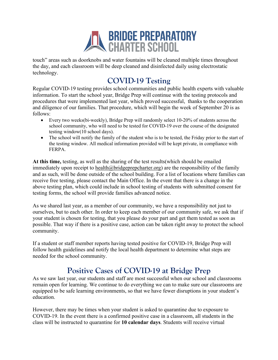

touch" areas such as doorknobs and water fountains will be cleaned multiple times throughout the day, and each classroom will be deep cleaned and disinfected daily using electrostatic technology.

### **COVID-19 Testing**

Regular COVID-19 testing provides school communities and public health experts with valuable information. To start the school year, Bridge Prep will continue with the testing protocols and procedures that were implemented last year, which proved successful, thanks to the cooperation and diligence of our families. That procedure, which will begin the week of September 20 is as follows:

- Every two weeks(bi-weekly), Bridge Prep will randomly select 10-20% of students across the school community, who will need to be tested for COVID-19 over the course of the designated testing window(10 school days).
- The school will notify the family of the student who is to be tested, the Friday prior to the start of the testing window. All medical information provided will be kept private, in compliance with FERPA.

**At this time,** testing, as well as the sharing of the test results(which should be emailed immediately upon receipt to health@bridgeprepcharter.org) are the responsibility of the family and as such, will be done outside of the school building. For a list of locations where families can receive free testing, please contact the Main Office. In the event that there is a change in the above testing plan, which could include in school testing of students with submitted consent for testing forms, the school will provide families advanced notice.

As we shared last year, as a member of our community, we have a responsibility not just to ourselves, but to each other. In order to keep each member of our community safe, we ask that if your student is chosen for testing, that you please do your part and get them tested as soon as possible. That way if there is a positive case, action can be taken right away to protect the school community.

If a student or staff member reports having tested positive for COVID-19, Bridge Prep will follow health guidelines and notify the local health department to determine what steps are needed for the school community.

# **Positive Cases of COVID-19 at Bridge Prep**

As we saw last year, our students and staff are most successful when our school and classrooms remain open for learning. We continue to do everything we can to make sure our classrooms are equipped to be safe learning environments, so that we have fewer disruptions in your student's education.

However, there may be times when your student is asked to quarantine due to exposure to COVID-19. In the event there is a confirmed positive case in a classroom, all students in the class will be instructed to quarantine for **10 calendar days**. Students will receive virtual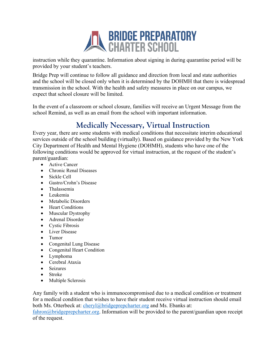

instruction while they quarantine. Information about signing in during quarantine period will be provided by your student's teachers.

Bridge Prep will continue to follow all guidance and direction from local and state authorities and the school will be closed only when it is determined by the DOHMH that there is widespread transmission in the school. With the health and safety measures in place on our campus, we expect that school closure will be limited.

In the event of a classroom or school closure, families will receive an Urgent Message from the school Remind, as well as an email from the school with important information.

# **Medically Necessary, Virtual Instruction**

Every year, there are some students with medical conditions that necessitate interim educational services outside of the school building (virtually). Based on guidance provided by the New York City Department of Health and Mental Hygiene (DOHMH), students who have one of the following conditions would be approved for virtual instruction, at the request of the student's parent/guardian:

- Active Cancer
- Chronic Renal Diseases
- Sickle Cell
- Gastro/Crohn's Disease
- Thalassemia
- Leukemia
- Metabolic Disorders
- Heart Conditions
- Muscular Dystrophy
- Adrenal Disorder
- Cystic Fibrosis
- Liver Disease
- Tumor
- Congenital Lung Disease
- Congenital Heart Condition
- Lymphoma
- Cerebral Ataxia
- Seizures
- Stroke
- Multiple Sclerosis

Any family with a student who is immunocompromised due to a medical condition or treatment for a medical condition that wishes to have their student receive virtual instruction should email both Ms. Otterbeck at: cheryl@bridgeprepcharter.org and Ms. Ebanks at:

 $fahron@bridge prepcharter.org. Information will be provided to the parent/guardian upon receipt$ of the request.